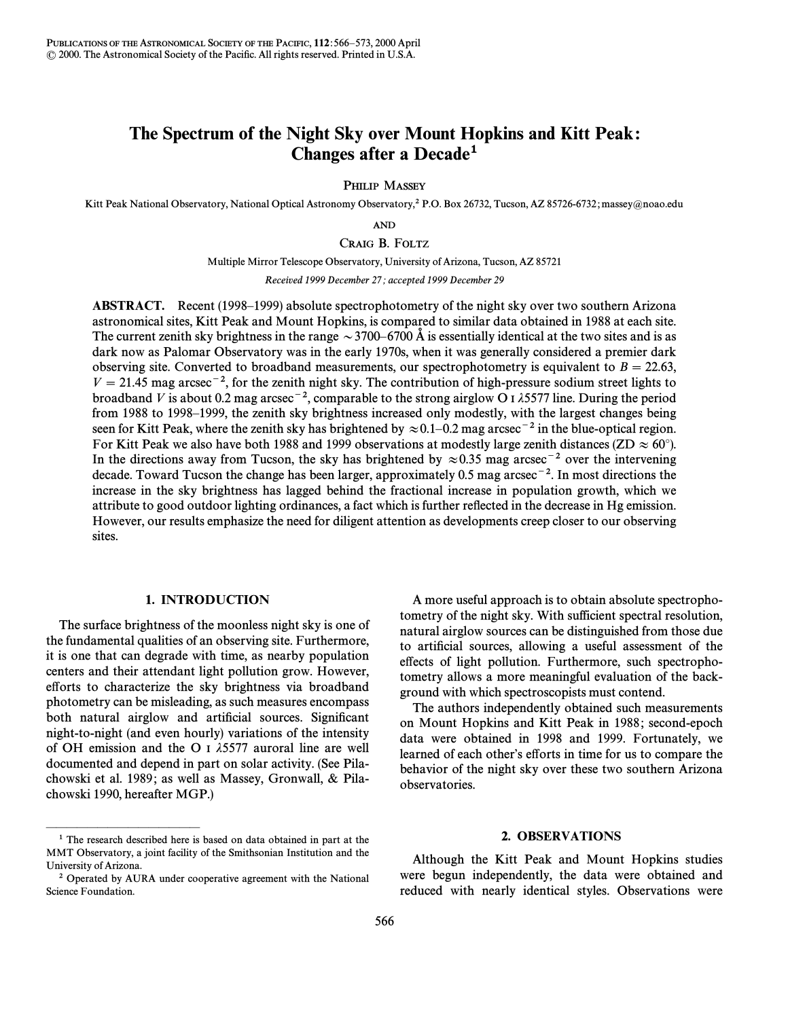# The Spectrum of the Night Sky over Mount Hopkins and Kitt Peak : Changes after a Decade**1**

PHILIP MASSEY

Kitt Peak National Observatory, National Optical Astronomy Observatory,<sup>2</sup> P.O. Box 26732, Tucson, AZ 85726-6732; massey@noao.edu

AND

CRAIG B. FOLTZ

Multiple Mirror Telescope Observatory, University of Arizona, Tucson, AZ 85721

Received 1999 December 27; accepted 1999 December 29

ABSTRACT. Recent (1998–1999) absolute spectrophotometry of the night sky over two southern Arizona astronomical sites, Kitt Peak and Mount Hopkins, is compared to similar data obtained in 1988 at each site. The current zenith sky brightness in the range  $\sim$  3700–6700 Å is essentially identical at the two sites and is as dark now as Palomar Observatory was in the early 1970s, when it was generally considered a premier dark observing site. Converted to broadband measurements, our spectrophotometry is equivalent to  $B = 22.63$ ,  $V = 21.45$  mag arcsec<sup>-2</sup>, for the zenith night sky. The contribution of high-pressure sodium street lights to broadband V is about 0.2 mag arcsec<sup>-2</sup>, comparable to the strong airglow O I  $\lambda$ 5577 line. During the period from 1988 to 1998–1999, the zenith sky brightness increased only modestly, with the largest changes being seen for Kitt Peak, where the zenith sky has brightened by  $\approx 0.1-0.2$  mag arcsec<sup>-2</sup> in the blue-optical region. For Kitt Peak we also have both 1988 and 1999 observations at modestly large zenith distances (ZD  $\approx 60^{\circ}$ ). In the directions away from Tucson, the sky has brightened by  $\approx 0.35$  mag arcsec<sup>-2</sup> over the intervening decade. Toward Tucson the change has been larger, approximately 0.5 mag arcsec<sup>-2</sup>. In most directions the increase in the sky brightness has lagged behind the fractional increase in population growth, which we attribute to good outdoor lighting ordinances, a fact which is further reflected in the decrease in Hg emission. However, our results emphasize the need for diligent attention as developments creep closer to our observing sites.

# 1. INTRODUCTION

The surface brightness of the moonless night sky is one of the fundamental qualities of an observing site. Furthermore, it is one that can degrade with time, as nearby population centers and their attendant light pollution grow. However, efforts to characterize the sky brightness via broadband photometry can be misleading, as such measures encompass both natural airglow and artificial sources. Significant night-to-night (and even hourly) variations of the intensity of OH emission and the O I  $\lambda$ 5577 auroral line are well documented and depend in part on solar activity. (See Pilachowski et al. 1989; as well as Massey, Gronwall, & Pilachowski 1990, hereafter MGP.)

ÈÈÈÈÈÈÈÈÈÈÈÈÈÈÈ

A more useful approach is to obtain absolute spectrophotometry of the night sky. With sufficient spectral resolution, natural airglow sources can be distinguished from those due to artificial sources, allowing a useful assessment of the effects of light pollution. Furthermore, such spectrophotometry allows a more meaningful evaluation of the background with which spectroscopists must contend.

The authors independently obtained such measurements on Mount Hopkins and Kitt Peak in 1988 ; second-epoch data were obtained in 1998 and 1999. Fortunately, we learned of each other's efforts in time for us to compare the behavior of the night sky over these two southern Arizona observatories.

## 2. OBSERVATIONS

Although the Kitt Peak and Mount Hopkins studies were begun independently, the data were obtained and reduced with nearly identical styles. Observations were

<sup>&</sup>lt;sup>1</sup> The research described here is based on data obtained in part at the MMT Observatory, a joint facility of the Smithsonian Institution and the University of Arizona.

<sup>&</sup>lt;sup>2</sup> Operated by AURA under cooperative agreement with the National Science Foundation.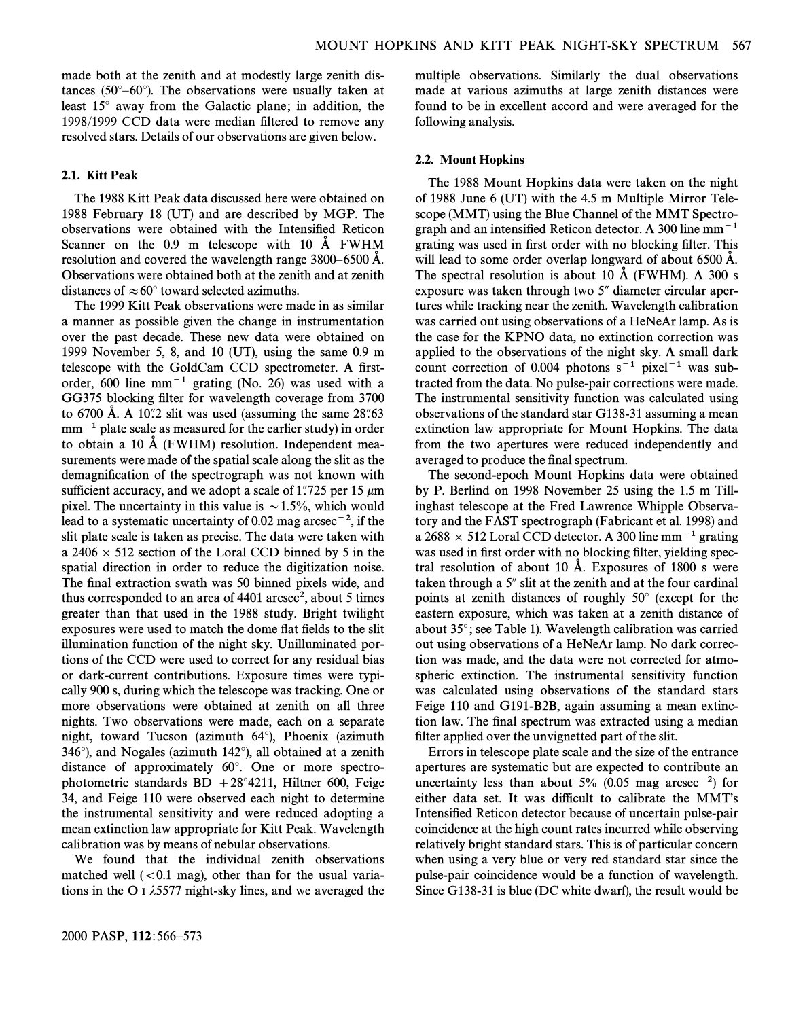made both at the zenith and at modestly large zenith distances (50 $^{\circ}-60^{\circ}$ ). The observations were usually taken at least  $15^\circ$  away from the Galactic plane; in addition, the 1998/1999 CCD data were median filtered to remove any resolved stars. Details of our observations are given below.

# 2.1. Kitt Peak

The 1988 Kitt Peak data discussed here were obtained on 1988 February 18 (UT) and are described by MGP. The observations were obtained with the Intensified Reticon Scanner on the  $0.9$  m telescope with  $10$  Å FWHM resolution and covered the wavelength range  $3800-6500$  Å. Observations were obtained both at the zenith and at zenith distances of  $\approx 60^{\circ}$  toward selected azimuths.

The 1999 Kitt Peak observations were made in as similar a manner as possible given the change in instrumentation over the past decade. These new data were obtained on 1999 November 5, 8, and 10 (UT), using the same 0.9 m telescope with the GoldCam CCD spectrometer. A firstorder, 600 line mm<sup> $-1$ </sup> grating (No. 26) was used with a GG375 blocking filter for wavelength coverage from 3700 to 6700 A. A 10. 2 slit was used (assuming the same  $28\%$ 63  $mm<sup>-1</sup>$  plate scale as measured for the earlier study) in order to obtain a 10  $\AA$  (FWHM) resolution. Independent measurements were made of the spatial scale along the slit as the demagnification of the spectrograph was not known with sufficient accuracy, and we adopt a scale of 1.725 per 15  $\mu$ m pixel. The uncertainty in this value is  $\sim$  1.5%, which would lead to a systematic uncertainty of 0.02 mag arcsec<sup>-2</sup>, if the slit plate scale is taken as precise. The data were taken with a  $2406 \times 512$  section of the Loral CCD binned by 5 in the spatial direction in order to reduce the digitization noise. The final extraction swath was 50 binned pixels wide, and thus corresponded to an area of  $4401$  arcsec<sup>2</sup>, about 5 times greater than that used in the 1988 study. Bright twilight exposures were used to match the dome flat fields to the slit illumination function of the night sky. Unilluminated portions of the CCD were used to correct for any residual bias or dark-current contributions. Exposure times were typically 900 s, during which the telescope was tracking. One or more observations were obtained at zenith on all three nights. Two observations were made, each on a separate night, toward Tucson (azimuth 64°), Phoenix (azimuth 346 $^{\circ}$ ), and Nogales (azimuth 142 $^{\circ}$ ), all obtained at a zenith distance of approximately  $60^\circ$ . One or more spectrophotometric standards  $BD + 28°4211$ , Hiltner 600, Feige 34, and Feige 110 were observed each night to determine the instrumental sensitivity and were reduced adopting a mean extinction law appropriate for Kitt Peak. Wavelength calibration was by means of nebular observations.

We found that the individual zenith observations matched well  $( $0.1$  mag), other than for the usual varia$ tions in the O I  $\lambda$ 5577 night-sky lines, and we averaged the multiple observations. Similarly the dual observations made at various azimuths at large zenith distances were found to be in excellent accord and were averaged for the following analysis.

#### 2.2. Mount Hopkins

The 1988 Mount Hopkins data were taken on the night of 1988 June 6 (UT) with the 4.5 m Multiple Mirror Telescope (MMT) using the Blue Channel of the MMT Spectrograph and an intensified Reticon detector. A 300 line  $mm^{-1}$ grating was used in first order with no blocking filter. This will lead to some order overlap longward of about 6500 Å. The spectral resolution is about 10  $\AA$  (FWHM). A 300 s exposure was taken through two 5" diameter circular apertures while tracking near the zenith. Wavelength calibration was carried out using observations of a HeNeAr lamp. As is the case for the KPNO data, no extinction correction was applied to the observations of the night sky. A small dark count correction of 0.004 photons  $s^{-1}$  pixel<sup>-1</sup> was subtracted from the data. No pulse-pair corrections were made. The instrumental sensitivity function was calculated using observations of the standard star G138-31 assuming a mean extinction law appropriate for Mount Hopkins. The data from the two apertures were reduced independently and averaged to produce the final spectrum.

The second-epoch Mount Hopkins data were obtained by P. Berlind on 1998 November 25 using the 1.5 m Tillinghast telescope at the Fred Lawrence Whipple Observatory and the FAST spectrograph (Fabricant et al. 1998) and a 2688  $\times$  512 Loral CCD detector. A 300 line mm<sup>-1</sup> grating was used in first order with no blocking filter, yielding spectral resolution of about 10  $\AA$ . Exposures of 1800 s were taken through a  $5$ " slit at the zenith and at the four cardinal points at zenith distances of roughly  $50^\circ$  (except for the eastern exposure, which was taken at a zenith distance of about  $35^\circ$ ; see Table 1). Wavelength calibration was carried out using observations of a HeNeAr lamp. No dark correction was made, and the data were not corrected for atmospheric extinction. The instrumental sensitivity function was calculated using observations of the standard stars Feige 110 and G191-B2B, again assuming a mean extinction law. The final spectrum was extracted using a median filter applied over the unvignetted part of the slit.

Errors in telescope plate scale and the size of the entrance apertures are systematic but are expected to contribute an uncertainty less than about 5% (0.05 mag arcsec<sup>-2</sup>) for either data set. It was difficult to calibrate the MMT's Intensified Reticon detector because of uncertain pulse-pair coincidence at the high count rates incurred while observing relatively bright standard stars. This is of particular concern when using a very blue or very red standard star since the pulse-pair coincidence would be a function of wavelength. Since G138-31 is blue (DC white dwarf), the result would be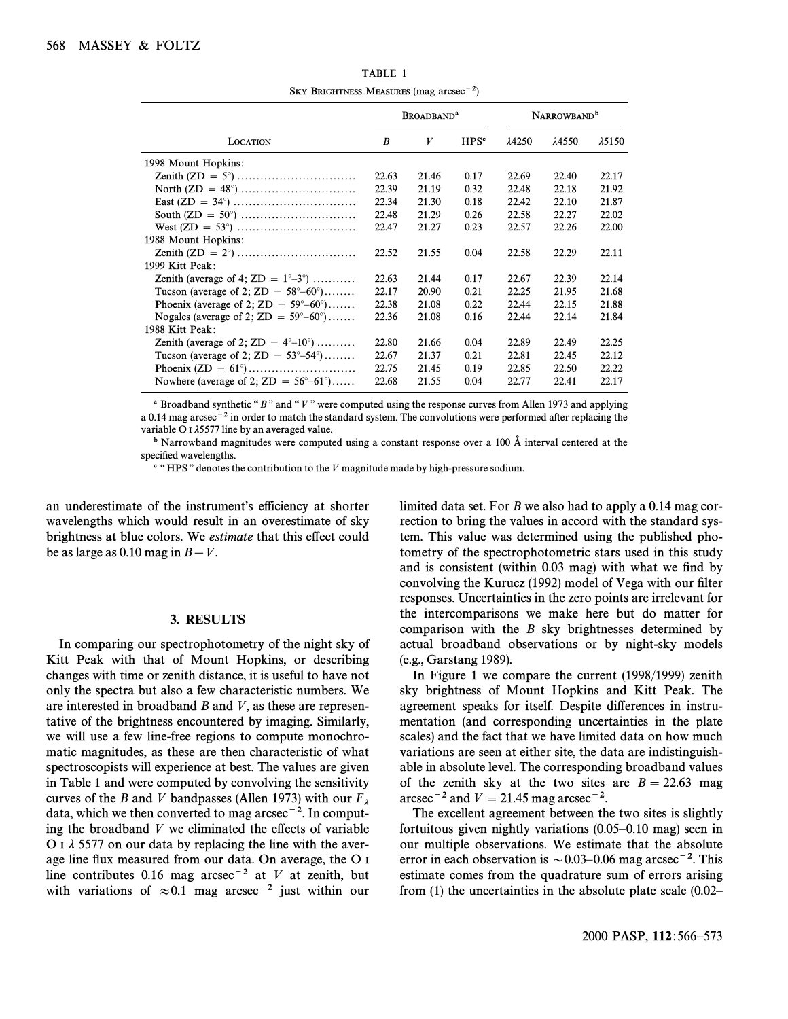| $\sim$                                                  |                              |       |                  |                         |       |                |
|---------------------------------------------------------|------------------------------|-------|------------------|-------------------------|-------|----------------|
|                                                         | <b>BROADBAND<sup>a</sup></b> |       |                  | NARROWBAND <sup>b</sup> |       |                |
| <b>LOCATION</b>                                         | B                            | V     | HPS <sup>c</sup> | λ4250                   | λ4550 | $\lambda$ 5150 |
| 1998 Mount Hopkins:                                     |                              |       |                  |                         |       |                |
|                                                         | 22.63                        | 21.46 | 0.17             | 22.69                   | 22.40 | 22.17          |
|                                                         | 22.39                        | 21.19 | 0.32             | 22.48                   | 22.18 | 21.92          |
|                                                         | 22.34                        | 21.30 | 0.18             | 22.42                   | 22.10 | 21.87          |
|                                                         | 22.48                        | 21.29 | 0.26             | 22.58                   | 22.27 | 22.02          |
|                                                         | 22.47                        | 21.27 | 0.23             | 22.57                   | 22.26 | 22.00          |
| 1988 Mount Hopkins:                                     |                              |       |                  |                         |       |                |
|                                                         | 22.52                        | 21.55 | 0.04             | 22.58                   | 22.29 | 22.11          |
| 1999 Kitt Peak:                                         |                              |       |                  |                         |       |                |
| Zenith (average of 4; ZD = $1^{\circ}-3^{\circ}$ )      | 22.63                        | 21.44 | 0.17             | 22.67                   | 22.39 | 22.14          |
| Tucson (average of 2; $ZD = 58^{\circ} - 60^{\circ}$ )  | 22.17                        | 20.90 | 0.21             | 22.25                   | 21.95 | 21.68          |
| Phoenix (average of 2; $ZD = 59^{\circ} - 60^{\circ}$ ) | 22.38                        | 21.08 | 0.22             | 22.44                   | 22.15 | 21.88          |
| Nogales (average of 2; $ZD = 59^{\circ} - 60^{\circ}$ ) | 22.36                        | 21.08 | 0.16             | 22.44                   | 22.14 | 21.84          |
| 1988 Kitt Peak:                                         |                              |       |                  |                         |       |                |
| Zenith (average of 2; $ZD = 4^{\circ} - 10^{\circ}$ )   | 22.80                        | 21.66 | 0.04             | 22.89                   | 22.49 | 22.25          |
| Tucson (average of 2; $ZD = 53^{\circ} - 54^{\circ}$ )  | 22.67                        | 21.37 | 0.21             | 22.81                   | 22.45 | 22.12          |
|                                                         | 22.75                        | 21.45 | 0.19             | 22.85                   | 22.50 | 22.22          |
| Nowhere (average of 2; $ZD = 56^{\circ} - 61^{\circ}$ ) | 22.68                        | 21.55 | 0.04             | 22.77                   | 22.41 | 22.17          |
|                                                         |                              |       |                  |                         |       |                |

TABLE 1 SKY BRIGHTNESS MEASURES (mag  $\arccos\left(\frac{-2}{2}\right)$ )

<sup>a</sup> Broadband synthetic " $B$ " and "V" were computed using the response curves from Allen 1973 and applying a 0.14 mag arcsec<sup>-2</sup> in order to match the standard system. The convolutions were performed after replacing the variable O I  $\lambda$ 5577 line by an averaged value.

<sup>b</sup> Narrowband magnitudes were computed using a constant response over a 100  $\AA$  interval centered at the specified wavelengths.

 $c$  "HPS" denotes the contribution to the V magnitude made by high-pressure sodium.

an underestimate of the instrument's efficiency at shorter wavelengths which would result in an overestimate of sky brightness at blue colors. We estimate that this effect could be as large as 0.10 mag in  $B-V$ .

### 3. RESULTS

In comparing our spectrophotometry of the night sky of Kitt Peak with that of Mount Hopkins, or describing changes with time or zenith distance, it is useful to have not only the spectra but also a few characteristic numbers. We are interested in broadband  $B$  and  $V$ , as these are representative of the brightness encountered by imaging. Similarly, we will use a few line-free regions to compute monochromatic magnitudes, as these are then characteristic of what spectroscopists will experience at best. The values are given in Table 1 and were computed by convolving the sensitivity curves of the B and V bandpasses (Allen 1973) with our  $F_{\lambda}$  data, which we then converted to mag arcsec<sup>-2</sup>. In computing the broadband  $V$  we eliminated the effects of variable O I  $\lambda$  5577 on our data by replacing the line with the average line flux measured from our data. On average, the O I line contributes 0.16 mag arcsec<sup>-2</sup> at V at zenith, but with variations of  $\approx 0.1$  mag arcsec<sup>-2</sup> just within our limited data set. For B we also had to apply a 0.14 mag correction to bring the values in accord with the standard system. This value was determined using the published photometry of the spectrophotometric stars used in this study and is consistent (within  $0.03$  mag) with what we find by convolving the Kurucz (1992) model of Vega with our filter responses. Uncertainties in the zero points are irrelevant for the intercomparisons we make here but do matter for comparison with the B sky brightnesses determined by actual broadband observations or by night-sky models (e.g., Garstang 1989).

In Figure 1 we compare the current (1998/1999) zenith sky brightness of Mount Hopkins and Kitt Peak. The agreement speaks for itself. Despite di†erences in instrumentation (and corresponding uncertainties in the plate scales) and the fact that we have limited data on how much variations are seen at either site, the data are indistinguishable in absolute level. The corresponding broadband values of the zenith sky at the two sites are  $B = 22.63$  mag arcsec<sup>-2</sup> and  $V = 21.45$  mag arcsec<sup>-2</sup>.

The excellent agreement between the two sites is slightly fortuitous given nightly variations  $(0.05-0.10$  mag) seen in our multiple observations. We estimate that the absolute error in each observation is  $\sim 0.03-0.06$  mag arcsec<sup>-2</sup>. This estimate comes from the quadrature sum of errors arising from  $(1)$  the uncertainties in the absolute plate scale  $(0.02$ <sup> $-$ </sup>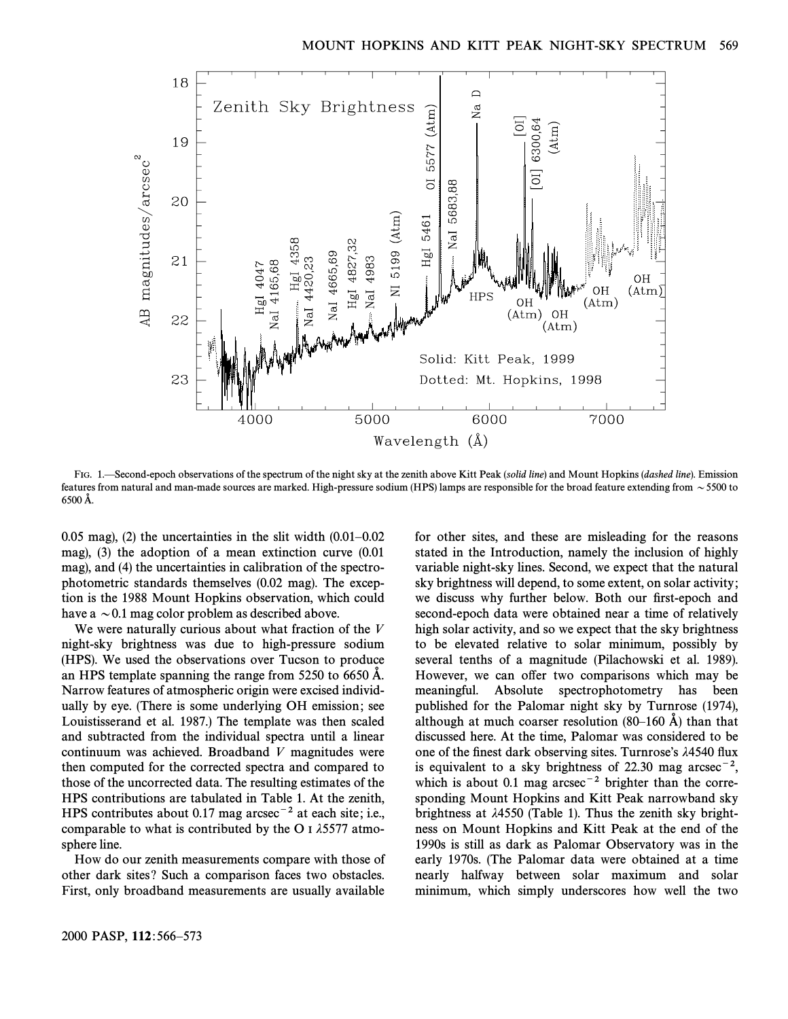

FIG. 1. Second-epoch observations of the spectrum of the night sky at the zenith above Kitt Peak (solid line) and Mount Hopkins (dashed line). Emission features from natural and man-made sources are marked. High-pressure sodium (HPS) lamps are responsible for the broad feature extending from  $\sim$  5500 to 6500 A.

0.05 mag), (2) the uncertainties in the slit width  $(0.01-0.02)$ mag), (3) the adoption of a mean extinction curve (0.01 mag), and (4) the uncertainties in calibration of the spectrophotometric standards themselves (0.02 mag). The exception is the 1988 Mount Hopkins observation, which could have a  $\sim$  0.1 mag color problem as described above.

We were naturally curious about what fraction of the V night-sky brightness was due to high-pressure sodium (HPS). We used the observations over Tucson to produce an HPS template spanning the range from 5250 to 6650 A. Narrow features of atmospheric origin were excised individually by eye. (There is some underlying OH emission; see Louistisserand et al. 1987.) The template was then scaled and subtracted from the individual spectra until a linear continuum was achieved. Broadband V magnitudes were then computed for the corrected spectra and compared to those of the uncorrected data. The resulting estimates of the HPS contributions are tabulated in Table 1. At the zenith, HPS contributes about 0.17 mag arcsec<sup> $-2$ </sup> at each site; i.e., comparable to what is contributed by the O I  $\lambda$ 5577 atmosphere line.

How do our zenith measurements compare with those of other dark sites ? Such a comparison faces two obstacles. First, only broadband measurements are usually available variable night-sky lines. Second, we expect that the natural sky brightness will depend, to some extent, on solar activity ; we discuss why further below. Both our first-epoch and second-epoch data were obtained near a time of relatively high solar activity, and so we expect that the sky brightness to be elevated relative to solar minimum, possibly by several tenths of a magnitude (Pilachowski et al. 1989). However, we can offer two comparisons which may be meaningful. Absolute spectrophotometry has been published for the Palomar night sky by Turnrose (1974), although at much coarser resolution  $(80-160 \text{ Å})$  than that discussed here. At the time, Palomar was considered to be one of the finest dark observing sites. Turnrose's  $\lambda$ 4540 flux is equivalent to a sky brightness of 22.30 mag arcsec<sup>-2</sup>, which is about 0.1 mag arcsec<sup> $-2$ </sup> brighter than the corresponding Mount Hopkins and Kitt Peak narrowband sky brightness at  $\lambda$ 4550 (Table 1). Thus the zenith sky brightness on Mount Hopkins and Kitt Peak at the end of the 1990s is still as dark as Palomar Observatory was in the early 1970s. (The Palomar data were obtained at a time nearly halfway between solar maximum and solar minimum, which simply underscores how well the two

for other sites, and these are misleading for the reasons stated in the Introduction, namely the inclusion of highly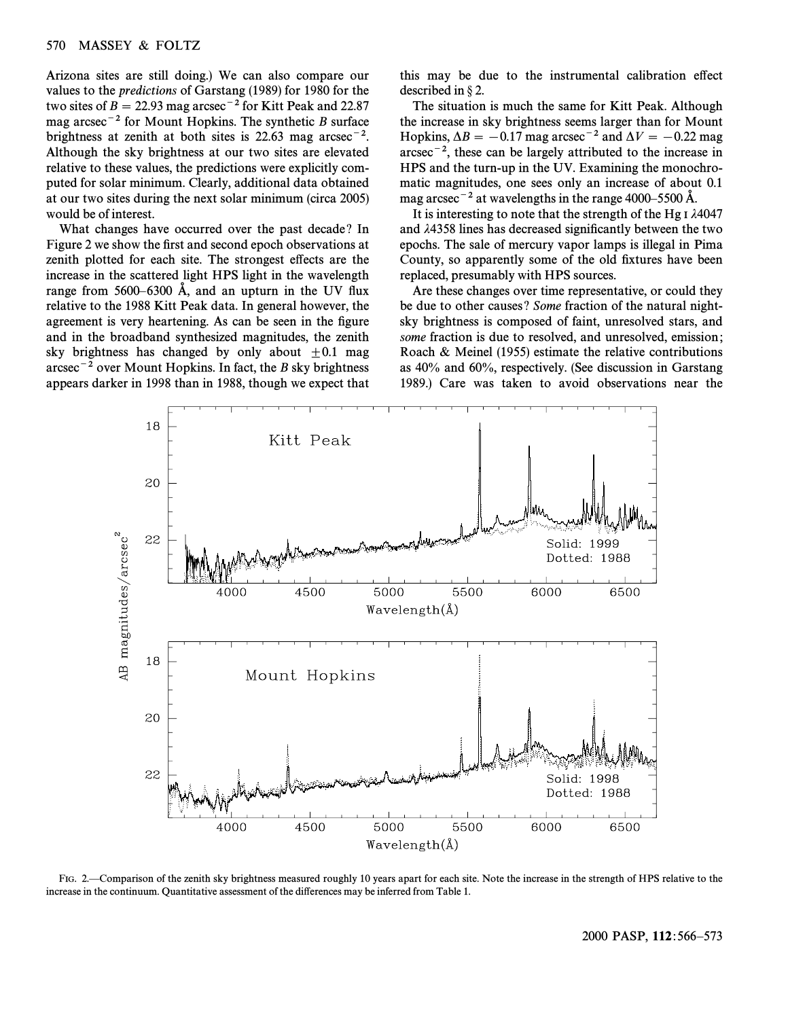Arizona sites are still doing.) We can also compare our values to the predictions of Garstang (1989) for 1980 for the two sites of  $B = 22.93$  mag arcsec<sup>-2</sup> for Kitt Peak and 22.87 mag arcsec<sup>-2</sup> for Mount Hopkins. The synthetic B surface brightness at zenith at both sites is  $22.63$  mag arcsec<sup>-2</sup>. Although the sky brightness at our two sites are elevated relative to these values, the predictions were explicitly computed for solar minimum. Clearly, additional data obtained at our two sites during the next solar minimum (circa 2005) would be of interest.

What changes have occurred over the past decade? In Figure 2 we show the first and second epoch observations at zenith plotted for each site. The strongest effects are the increase in the scattered light HPS light in the wavelength range from  $5600-6300$  Å, and an upturn in the UV flux relative to the 1988 Kitt Peak data. In general however, the agreement is very heartening. As can be seen in the figure and in the broadband synthesized magnitudes, the zenith sky brightness has changed by only about  $\pm 0.1$  mag  $\arcsc^{-2}$  over Mount Hopkins. In fact, the B sky brightness appears darker in 1998 than in 1988, though we expect that

this may be due to the instrumental calibration effect described in  $\S$  2.

The situation is much the same for Kitt Peak. Although the increase in sky brightness seems larger than for Mount Hopkins,  $\Delta B = -0.17$  mag arcsec<sup>-2</sup> and  $\Delta V = -0.22$  mag  $\arcsc^{-2}$ , these can be largely attributed to the increase in HPS and the turn-up in the UV. Examining the monochromatic magnitudes, one sees only an increase of about 0.1 mag arcsec<sup> $-2$ </sup> at wavelengths in the range 4000–5500 Å.

It is interesting to note that the strength of the Hg I  $\lambda$ 4047 and  $\lambda$ 4358 lines has decreased significantly between the two epochs. The sale of mercury vapor lamps is illegal in Pima County, so apparently some of the old fixtures have been replaced, presumably with HPS sources.

Are these changes over time representative, or could they be due to other causes? Some fraction of the natural nightsky brightness is composed of faint, unresolved stars, and some fraction is due to resolved, and unresolved, emission; Roach & Meinel (1955) estimate the relative contributions as 40% and 60%, respectively. (See discussion in Garstang 1989.) Care was taken to avoid observations near the



FIG. 2.—Comparison of the zenith sky brightness measured roughly 10 years apart for each site. Note the increase in the strength of HPS relative to the increase in the continuum. Quantitative assessment of the differences may be inferred from Table 1.

2000 PASP, 112:566–573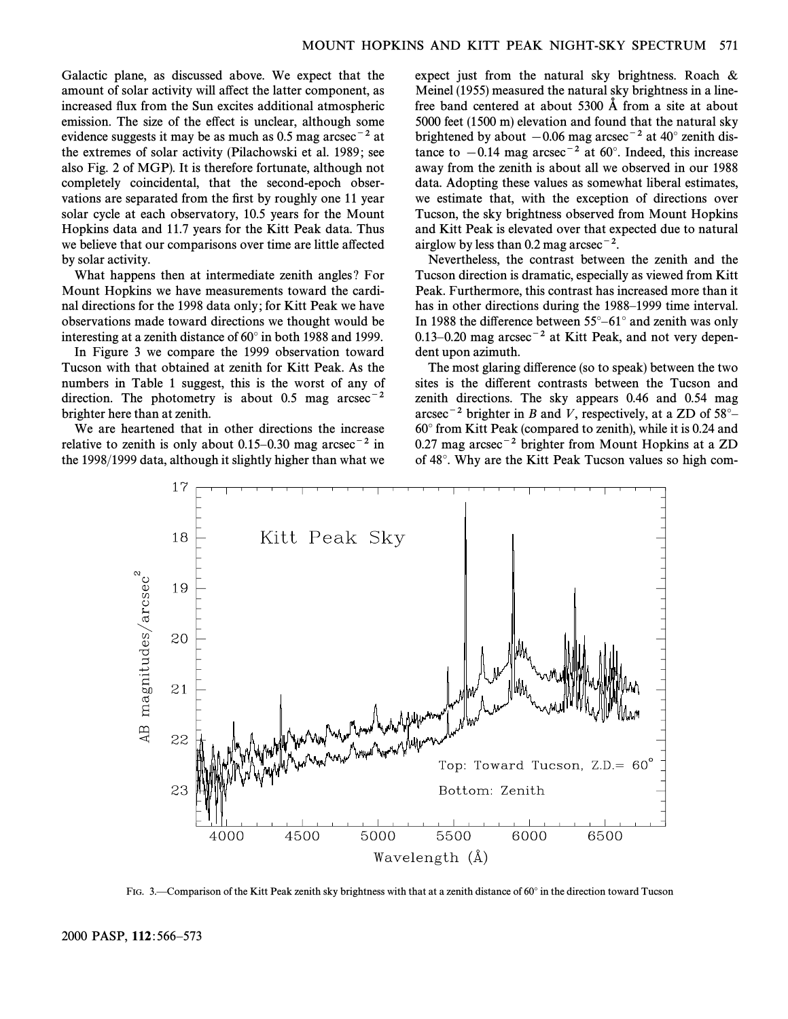Galactic plane, as discussed above. We expect that the amount of solar activity will affect the latter component, as increased Ñux from the Sun excites additional atmospheric emission. The size of the effect is unclear, although some evidence suggests it may be as much as 0.5 mag arcsec<sup>-2</sup> at the extremes of solar activity (Pilachowski et al. 1989 ; see also Fig. 2 of MGP). It is therefore fortunate, although not completely coincidental, that the second-epoch observations are separated from the first by roughly one 11 year solar cycle at each observatory, 10.5 years for the Mount Hopkins data and 11.7 years for the Kitt Peak data. Thus we believe that our comparisons over time are little affected by solar activity.

What happens then at intermediate zenith angles ? For Mount Hopkins we have measurements toward the cardinal directions for the 1998 data only ; for Kitt Peak we have observations made toward directions we thought would be interesting at a zenith distance of  $60^{\circ}$  in both 1988 and 1999.

In Figure 3 we compare the 1999 observation toward Tucson with that obtained at zenith for Kitt Peak. As the numbers in Table 1 suggest, this is the worst of any of direction. The photometry is about 0.5 mag  $\arccos^{-2}$ brighter here than at zenith.

We are heartened that in other directions the increase relative to zenith is only about 0.15–0.30 mag arcsec<sup>-2</sup> in the 1998/1999 data, although it slightly higher than what we

expect just from the natural sky brightness. Roach & Meinel (1955) measured the natural sky brightness in a linefree band centered at about  $5300 \text{ Å}$  from a site at about 5000 feet (1500 m) elevation and found that the natural sky brightened by about  $-0.06$  mag arcsec<sup>-2</sup> at 40° zenith distance to  $-0.14$  mag arcsec<sup>-2</sup> at 60°. Indeed, this increase away from the zenith is about all we observed in our 1988 data. Adopting these values as somewhat liberal estimates, we estimate that, with the exception of directions over Tucson, the sky brightness observed from Mount Hopkins and Kitt Peak is elevated over that expected due to natural airglow by less than 0.2 mag arcsec<sup>-2</sup>.

Nevertheless, the contrast between the zenith and the Tucson direction is dramatic, especially as viewed from Kitt Peak. Furthermore, this contrast has increased more than it has in other directions during the 1988–1999 time interval. In 1988 the difference between  $55^{\circ}$ –61° and zenith was only 0.13–0.20 mag arcsec<sup>-2</sup> at Kitt Peak, and not very dependent upon azimuth.

The most glaring difference (so to speak) between the two sites is the different contrasts between the Tucson and zenith directions. The sky appears 0.46 and 0.54 mag arcsec<sup>-2</sup> brighter in B and V, respectively, at a ZD of  $58^{\circ}$ - $60^\circ$  from Kitt Peak (compared to zenith), while it is 0.24 and  $0.27$  mag arcsec<sup>-2</sup> brighter from Mount Hopkins at a ZD of 48°. Why are the Kitt Peak Tucson values so high com-



FIG. 3.—Comparison of the Kitt Peak zenith sky brightness with that at a zenith distance of 60 $\degree$  in the direction toward Tucson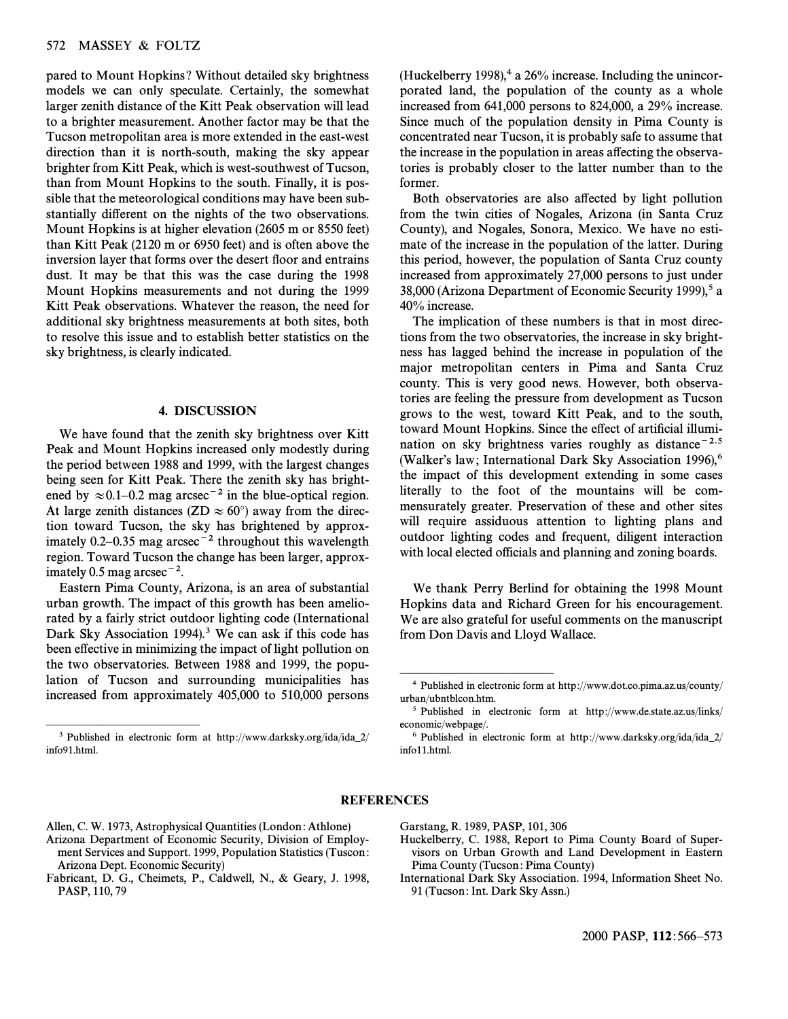## 572 MASSEY & FOLTZ

pared to Mount Hopkins ? Without detailed sky brightness models we can only speculate. Certainly, the somewhat larger zenith distance of the Kitt Peak observation will lead to a brighter measurement. Another factor may be that the Tucson metropolitan area is more extended in the east-west direction than it is north-south, making the sky appear brighter from Kitt Peak, which is west-southwest of Tucson, than from Mount Hopkins to the south. Finally, it is possible that the meteorological conditions may have been substantially different on the nights of the two observations. Mount Hopkins is at higher elevation (2605 m or 8550 feet) than Kitt Peak (2120 m or 6950 feet) and is often above the inversion layer that forms over the desert floor and entrains dust. It may be that this was the case during the 1998 Mount Hopkins measurements and not during the 1999 Kitt Peak observations. Whatever the reason, the need for additional sky brightness measurements at both sites, both to resolve this issue and to establish better statistics on the sky brightness, is clearly indicated.

# 4. DISCUSSION

We have found that the zenith sky brightness over Kitt Peak and Mount Hopkins increased only modestly during the period between 1988 and 1999, with the largest changes being seen for Kitt Peak. There the zenith sky has brightened by  $\approx 0.1-0.2$  mag arcsec<sup>-2</sup> in the blue-optical region. At large zenith distances (ZD  $\approx 60^{\circ}$ ) away from the direction toward Tucson, the sky has brightened by approximately 0.2–0.35 mag arcsec<sup>-2</sup> throughout this wavelength region. Toward Tucson the change has been larger, approximately 0.5 mag arcsec<sup> $-2$ </sup>.

Eastern Pima County, Arizona, is an area of substantial urban growth. The impact of this growth has been ameliorated by a fairly strict outdoor lighting code (International Dark Sky Association 1994).<sup>3</sup> We can ask if this code has been effective in minimizing the impact of light pollution on the two observatories. Between 1988 and 1999, the population of Tucson and surrounding municipalities has increased from approximately 405,000 to 510,000 persons

<sup>3</sup> Published in electronic form at http://www.darksky.org/ida/ida\_2/ info91.html.

ÈÈÈÈÈÈÈÈÈÈÈÈÈÈÈ

(Huckelberry 1998), $4$  a 26% increase. Including the unincorporated land, the population of the county as a whole increased from 641,000 persons to 824,000, a 29% increase. Since much of the population density in Pima County is concentrated near Tucson, it is probably safe to assume that the increase in the population in areas affecting the observatories is probably closer to the latter number than to the former.

Both observatories are also affected by light pollution from the twin cities of Nogales, Arizona (in Santa Cruz County), and Nogales, Sonora, Mexico. We have no estimate of the increase in the population of the latter. During this period, however, the population of Santa Cruz county increased from approximately 27,000 persons to just under 38,000 (Arizona Department of Economic Security 1999),<sup>5</sup> a 40% increase.

The implication of these numbers is that in most directions from the two observatories, the increase in sky brightness has lagged behind the increase in population of the major metropolitan centers in Pima and Santa Cruz county. This is very good news. However, both observatories are feeling the pressure from development as Tucson grows to the west, toward Kitt Peak, and to the south, toward Mount Hopkins. Since the effect of artificial illumination on sky brightness varies roughly as distance<sup> $-2.5$ </sup> (Walker's law; International Dark Sky Association 1996),<sup>6</sup> the impact of this development extending in some cases literally to the foot of the mountains will be commensurately greater. Preservation of these and other sites will require assiduous attention to lighting plans and outdoor lighting codes and frequent, diligent interaction with local elected officials and planning and zoning boards.

We thank Perry Berlind for obtaining the 1998 Mount Hopkins data and Richard Green for his encouragement. We are also grateful for useful comments on the manuscript from Don Davis and Lloyd Wallace.

## REFERENCES

- Allen, C. W. 1973, Astrophysical Quantities (London : Athlone) Arizona Department of Economic Security, Division of Employment Services and Support. 1999, Population Statistics (Tuscon : Arizona Dept. Economic Security)
- Fabricant, D. G., Cheimets, P., Caldwell, N., & Geary, J. 1998, PASP, 110, 79

Garstang, R. 1989, PASP, 101, 306

ÈÈÈÈÈÈÈÈÈÈÈÈÈÈÈ

- Huckelberry, C. 1988, Report to Pima County Board of Supervisors on Urban Growth and Land Development in Eastern Pima County (Tucson: Pima County)
- International Dark Sky Association. 1994, Information Sheet No. 91 (Tucson : Int. Dark Sky Assn.)

<sup>4</sup> Published in electronic form at http ://www.dot.co.pima.az.us/county/ urban/ubntblcon.htm.

<sup>5</sup> Published in electronic form at http ://www.de.state.az.us/links/ economic/webpage/.

 $6$  Published in electronic form at http://www.darksky.org/ida/ida\_2/ info11.html.